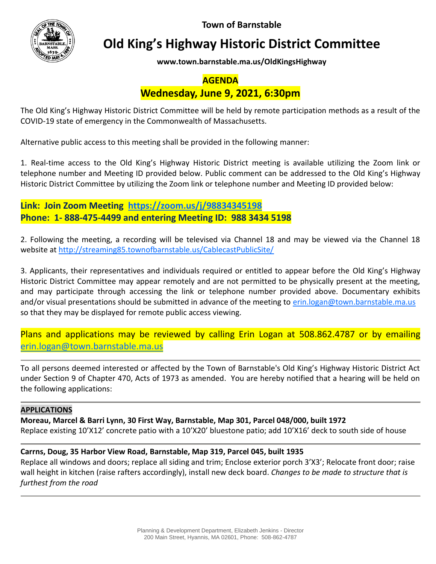**Town of Barnstable**



# **Old King's Highway Historic District Committee**

**www.town.barnstable.ma.us/OldKingsHighway**

## **AGENDA**

# **Wednesday, June 9, 2021, 6:30pm**

The Old King's Highway Historic District Committee will be held by remote participation methods as a result of the COVID-19 state of emergency in the Commonwealth of Massachusetts.

Alternative public access to this meeting shall be provided in the following manner:

1. Real-time access to the Old King's Highway Historic District meeting is available utilizing the Zoom link or telephone number and Meeting ID provided below. Public comment can be addressed to the Old King's Highway Historic District Committee by utilizing the Zoom link or telephone number and Meeting ID provided below:

**Link: Join Zoom Meeting <https://zoom.us/j/98834345198> Phone: 1- 888-475-4499 and entering Meeting ID: 988 3434 5198**

2. Following the meeting, a recording will be televised via Channel 18 and may be viewed via the Channel 18 website at<http://streaming85.townofbarnstable.us/CablecastPublicSite/>

3. Applicants, their representatives and individuals required or entitled to appear before the Old King's Highway Historic District Committee may appear remotely and are not permitted to be physically present at the meeting, and may participate through accessing the link or telephone number provided above. Documentary exhibits and/or visual presentations should be submitted in advance of the meeting to [erin.logan@town.barnstable.ma.us](mailto:erin.logan@town.barnstable.ma.us) so that they may be displayed for remote public access viewing.

Plans and applications may be reviewed by calling Erin Logan at 508.862.4787 or by emailing [erin.logan@town.barnstable.ma.us](mailto:erin.logan@town.barnstable.ma.us)

To all persons deemed interested or affected by the Town of Barnstable's Old King's Highway Historic District Act under Section 9 of Chapter 470, Acts of 1973 as amended. You are hereby notified that a hearing will be held on the following applications:

#### **APPLICATIONS**

**Moreau, Marcel & Barri Lynn, 30 First Way, Barnstable, Map 301, Parcel 048/000, built 1972**

Replace existing 10'X12' concrete patio with a 10'X20' bluestone patio; add 10'X16' deck to south side of house

### **Carrns, Doug, 35 Harbor View Road, Barnstable, Map 319, Parcel 045, built 1935**

Replace all windows and doors; replace all siding and trim; Enclose exterior porch 3'X3'; Relocate front door; raise wall height in kitchen (raise rafters accordingly), install new deck board. *Changes to be made to structure that is furthest from the road*